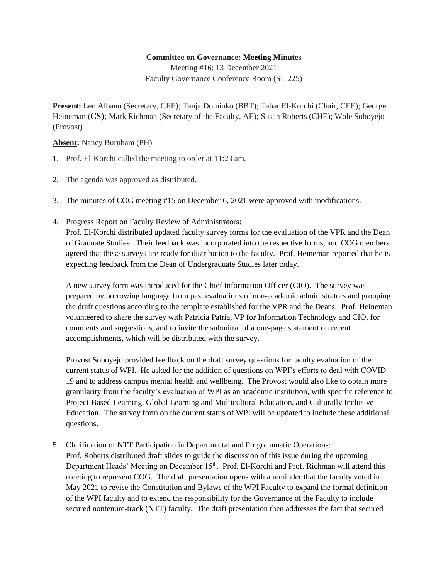## **Committee on Governance: Meeting Minutes**

Meeting #16: 13 December 2021 Faculty Governance Conference Room (SL 225)

**Present:** Len Albano (Secretary, CEE); Tanja Dominko (BBT); Tahar El-Korchi (Chair, CEE); George Heineman (CS); Mark Richman (Secretary of the Faculty, AE); Susan Roberts (CHE); Wole Soboyejo (Provost)

**Absent:** Nancy Burnham (PH)

- 1. Prof. El-Korchi called the meeting to order at 11:23 am.
- 2. The agenda was approved as distributed.
- 3. The minutes of COG meeting #15 on December 6, 2021 were approved with modifications.
- 4. Progress Report on Faculty Review of Administrators:

Prof. El-Korchi distributed updated faculty survey forms for the evaluation of the VPR and the Dean of Graduate Studies. Their feedback was incorporated into the respective forms, and COG members agreed that these surveys are ready for distribution to the faculty. Prof. Heineman reported that he is expecting feedback from the Dean of Undergraduate Studies later today.

A new survey form was introduced for the Chief Information Officer (CIO). The survey was prepared by borrowing language from past evaluations of non-academic administrators and grouping the draft questions according to the template established for the VPR and the Deans. Prof. Heineman volunteered to share the survey with Patricia Patria, VP for Information Technology and CIO, for comments and suggestions, and to invite the submittal of a one-page statement on recent accomplishments, which will be distributed with the survey.

Provost Soboyejo provided feedback on the draft survey questions for faculty evaluation of the current status of WPI. He asked for the addition of questions on WPI's efforts to deal with COVID-19 and to address campus mental health and wellbeing. The Provost would also like to obtain more granularity from the faculty's evaluation of WPI as an academic institution, with specific reference to Project-Based Learning, Global Learning and Multicultural Education, and Culturally Inclusive Education. The survey form on the current status of WPI will be updated to include these additional questions.

5. Clarification of NTT Participation in Departmental and Programmatic Operations:

Prof. Roberts distributed draft slides to guide the discussion of this issue during the upcoming Department Heads' Meeting on December 15<sup>th</sup>. Prof. El-Korchi and Prof. Richman will attend this meeting to represent COG. The draft presentation opens with a reminder that the faculty voted in May 2021 to revise the Constitution and Bylaws of the WPI Faculty to expand the formal definition of the WPI faculty and to extend the responsibility for the Governance of the Faculty to include secured nontenure-track (NTT) faculty. The draft presentation then addresses the fact that secured